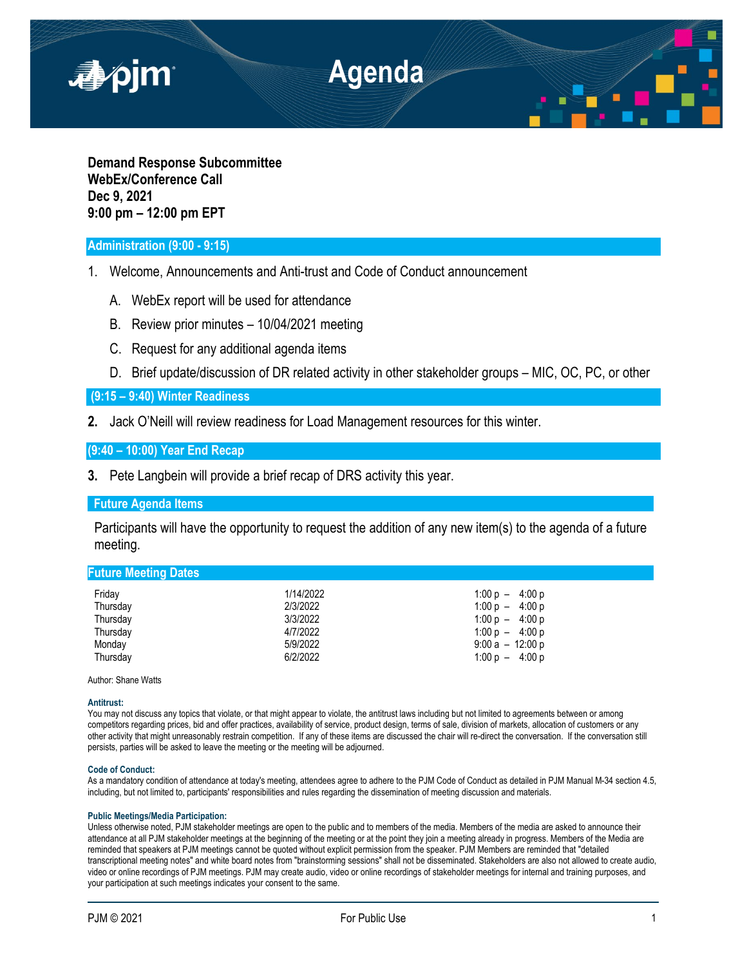

**Demand Response Subcommittee WebEx/Conference Call Dec 9, 2021 9:00 pm – 12:00 pm EPT**

# **Administration (9:00 - 9:15)**

- 1. Welcome, Announcements and Anti-trust and Code of Conduct announcement
	- A. WebEx report will be used for attendance
	- B. Review prior minutes 10/04/2021 meeting
	- C. Request for any additional agenda items
	- D. Brief update/discussion of DR related activity in other stakeholder groups MIC, OC, PC, or other

**(9:15 – 9:40) Winter Readiness**

**2.** Jack O'Neill will review readiness for Load Management resources for this winter.

**(9:40 – 10:00) Year End Recap**

**3.** Pete Langbein will provide a brief recap of DRS activity this year.

## **Future Agenda Items**

Participants will have the opportunity to request the addition of any new item(s) to the agenda of a future meeting.

# **Future Meeting Dates**

| Friday   | 1/14/2022 | $1:00 p - 4:00 p$ |
|----------|-----------|-------------------|
| Thursday | 2/3/2022  | $1:00 p - 4:00 p$ |
| Thursday | 3/3/2022  | $1:00 p - 4:00 p$ |
| Thursday | 4/7/2022  | $1:00 p - 4:00 p$ |
| Monday   | 5/9/2022  | $9:00a - 12:00p$  |
| Thursday | 6/2/2022  | $1:00 p - 4:00 p$ |

Author: Shane Watts

### **Antitrust:**

You may not discuss any topics that violate, or that might appear to violate, the antitrust laws including but not limited to agreements between or among competitors regarding prices, bid and offer practices, availability of service, product design, terms of sale, division of markets, allocation of customers or any other activity that might unreasonably restrain competition. If any of these items are discussed the chair will re-direct the conversation. If the conversation still persists, parties will be asked to leave the meeting or the meeting will be adjourned.

### **Code of Conduct:**

As a mandatory condition of attendance at today's meeting, attendees agree to adhere to the PJM Code of Conduct as detailed in PJM Manual M-34 section 4.5, including, but not limited to, participants' responsibilities and rules regarding the dissemination of meeting discussion and materials.

### **Public Meetings/Media Participation:**

Unless otherwise noted, PJM stakeholder meetings are open to the public and to members of the media. Members of the media are asked to announce their attendance at all PJM stakeholder meetings at the beginning of the meeting or at the point they join a meeting already in progress. Members of the Media are reminded that speakers at PJM meetings cannot be quoted without explicit permission from the speaker. PJM Members are reminded that "detailed transcriptional meeting notes" and white board notes from "brainstorming sessions" shall not be disseminated. Stakeholders are also not allowed to create audio, video or online recordings of PJM meetings. PJM may create audio, video or online recordings of stakeholder meetings for internal and training purposes, and your participation at such meetings indicates your consent to the same.